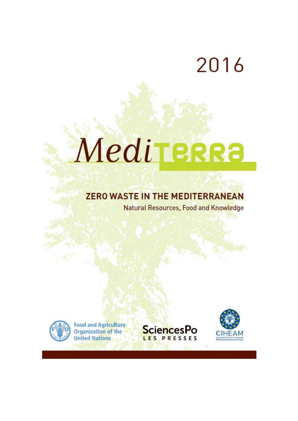# 2016

# Mediterra

# **ZERO WASTE IN THE MEDITERRANEAN**

**Natural Resources, Food and Knowledge** 



**Food and Agriculture**<br>Organization of the **United Nations** 



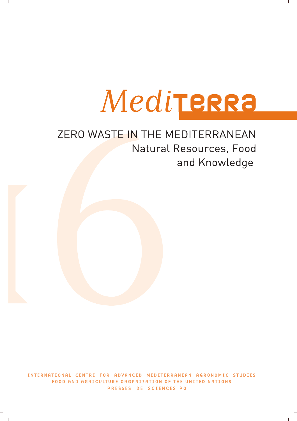

# ZERO WASTE IN THE MEDITERRANEAN Natural Resources, Food and Knowledge

INTERNATIONAL CENTRE FOR ADVANCED MEDITERRANEAN AGRONOMIC STUDIES FOOD AND AGRICULTURE ORGANIZATION OF THE UNITED NATIONS PRESSES DE SCIENCES PO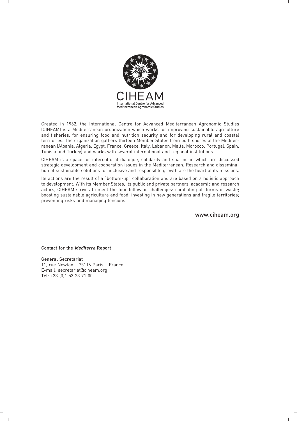

Created in 1962, the International Centre for Advanced Mediterranean Agronomic Studies (CIHEAM) is a Mediterranean organization which works for improving sustainable agriculture and fisheries, for ensuring food and nutrition security and for developing rural and coastal territories. The organization gathers thirteen Member States from both shores of the Mediterranean (Albania, Algeria, Egypt, France, Greece, Italy, Lebanon, Malta, Morocco, Portugal, Spain, Tunisia and Turkey) and works with several international and regional institutions.

CIHEAM is a space for intercultural dialogue, solidarity and sharing in which are discussed strategic development and cooperation issues in the Mediterranean. Research and dissemination of sustainable solutions for inclusive and responsible growth are the heart of its missions.

Its actions are the result of a "bottom-up" collaboration and are based on a holistic approach to development. With its Member States, its public and private partners, academic and research actors, CIHEAM strives to meet the four following challenges: combating all forms of waste; boosting sustainable agriculture and food; investing in new generations and fragile territories; preventing risks and managing tensions.

www.ciheam.org

Contact for the Mediterra Report

General Secretariat 11, rue Newton – 75116 Paris – France E-mail: secretariat@ciheam.org Tel: +33 (0)1 53 23 91 00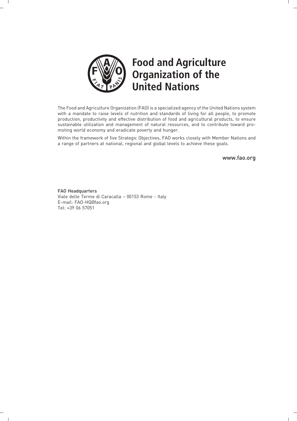

 $\overline{\phantom{a}}$ 

 $\Box$ 

# **Food and Agriculture Organization of the United Nations**

The Food and Agriculture Organization (FAO) is a specialized agency of the United Nations system with a mandate to raise levels of nutrition and standards of living for all people, to promote production, productivity and effective distribution of food and agricultural products, to ensure sustainable utilization and management of natural resources, and to contribute toward promoting world economy and eradicate poverty and hunger.

Within the framework of five Strategic Objectives, FAO works closely with Member Nations and a range of partners at national, regional and global levels to achieve these goals.

www.fao.org

FAO Headquarters Viale delle Terme di Caracalla – 00153 Rome - Italy E-mail: FAO-HQ@fao.org Tel: +39 06 57051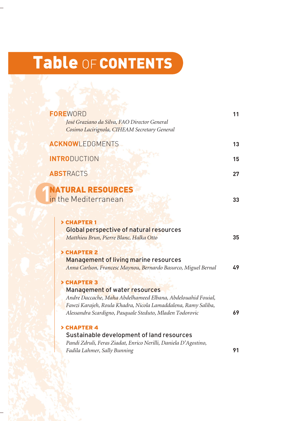# Table OF CONTENTS

| <b>FOREWORD</b><br>José Graziano da Silva, FAO Director General<br>Cosimo Lacirignola, CIHEAM Secretary General                                                                                                                           | 11 |
|-------------------------------------------------------------------------------------------------------------------------------------------------------------------------------------------------------------------------------------------|----|
| <b>ACKNOWLEDGMENTS</b>                                                                                                                                                                                                                    | 13 |
| <b>INTRODUCTION</b>                                                                                                                                                                                                                       | 15 |
| <b>ABSTRACTS</b>                                                                                                                                                                                                                          | 27 |
| <b>NATURAL RESOURCES</b><br>in the Mediterranean                                                                                                                                                                                          | 33 |
| > CHAPTER 1<br><b>Global perspective of natural resources</b><br>Matthieu Brun, Pierre Blanc, Halka Otto<br><b>&gt; CHAPTER 2</b>                                                                                                         | 35 |
| <b>Management of living marine resources</b><br>Anna Carlson, Francesc Maynou, Bernardo Basurco, Miguel Bernal                                                                                                                            | 49 |
| > CHAPTER 3<br>Management of water resources<br>Andre Daccache, Maha Abdelhameed Elbana, Abdelouahid Fouial,<br>Fawzi Karajeh, Roula Khadra, Nicola Lamaddalena, Ramy Saliba,<br>Alessandra Scardigno, Pasquale Steduto, Mladen Todorovic | 69 |
| > CHAPTER 4<br>Sustainable development of land resources<br>Pandi Zdruli, Feras Ziadat, Enrico Nerilli, Daniela D'Agostino,<br>Fadila Lahmer, Sally Bunning                                                                               | 91 |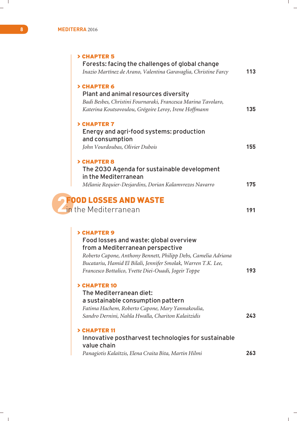| > CHAPTER 5<br>Forests: facing the challenges of global change<br>Inazio Martínez de Arano, Valentina Garavaglia, Christine Farcy                                                                                                                                                    | 113 |
|--------------------------------------------------------------------------------------------------------------------------------------------------------------------------------------------------------------------------------------------------------------------------------------|-----|
| > CHAPTER 6<br>Plant and animal resources diversity<br>Badi Besbes, Christini Fournaraki, Francesca Marina Tavolaro,<br>Katerina Koutsovoulou, Grégoire Leroy, Irene Hoffmann                                                                                                        | 135 |
| > CHAPTER 7<br>Energy and agri-food systems: production<br>and consumption<br>John Vourdoubas, Olivier Dubois                                                                                                                                                                        | 155 |
| > CHAPTER 8<br>The 2030 Agenda for sustainable development<br>in the Mediterranean<br>Mélanie Requier-Desjardins, Dorian Kalamvrezos Navarro                                                                                                                                         | 175 |
| <b>FOOD LOSSES AND WASTE</b><br>in the Mediterranean                                                                                                                                                                                                                                 | 191 |
| > CHAPTER 9<br>Food losses and waste: global overview<br>from a Mediterranean perspective<br>Roberto Capone, Anthony Bennett, Philipp Debs, Camelia Adriana<br>Bucatariu, Hamid El Bilali, Jennifer Smolak, Warren T.K. Lee,<br>Francesco Bottalico, Yvette Diei-Ouadi, Jogeir Toppe | 193 |
| > CHAPTER 10<br>The Mediterranean diet:<br>a sustainable consumption pattern<br>Fatima Hachem, Roberto Capone, Mary Yannakoulia,<br>Sandro Dernini, Nahla Hwalla, Chariton Kalaitzidis                                                                                               | 243 |
| > CHAPTER 11<br>Innovative postharvest technologies for sustainable<br>value chain<br>Panagiotis Kalaïtzis, Elena Craita Bita, Martin Hilmi                                                                                                                                          | 263 |

 $\frac{1}{\sqrt{2}}$ 

 $\overline{\phantom{0}}$  $\mathbf{L}$ 

 $\mathbf{1}$ 

 $\mathbb{R}^+$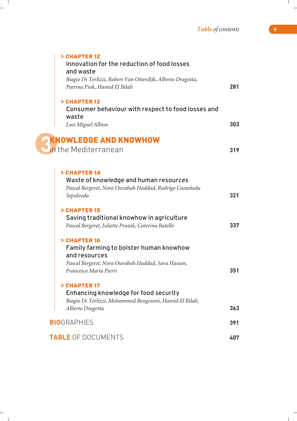| > CHAPTER 12<br>Innovation for the reduction of food losses                                       |     |
|---------------------------------------------------------------------------------------------------|-----|
| and waste                                                                                         |     |
| Biagio Di Terlizzi, Robert Van Otterdijk, Alberto Dragotta,                                       |     |
| Patrina Pink, Hamid El Bilali                                                                     | 281 |
| > CHAPTER 13                                                                                      |     |
| Consumer behaviour with respect to food losses and<br>waste                                       |     |
| Luis Miguel Albisu                                                                                | 303 |
| <b>EXNOWLEDGE AND KNOWHOW</b>                                                                     |     |
| in the Mediterranean                                                                              | 319 |
|                                                                                                   |     |
| > CHAPTER 14                                                                                      |     |
| Waste of knowledge and human resources<br>Pascal Bergeret, Nora Ourabah Haddad, Rodrigo Castañeda |     |
| Sepúlveda                                                                                         | 321 |
| > CHAPTER 15                                                                                      |     |
| Saving traditional knowhow in agriculture                                                         |     |
| Pascal Bergeret, Juliette Prazak, Caterina Batello                                                | 337 |
| > CHAPTER 16                                                                                      |     |
| Family farming to bolster human knowhow<br>and resources                                          |     |
| Pascal Bergeret, Nora Ourabah Haddad, Sara Hassan,                                                |     |
| Francesco Maria Pierri                                                                            | 351 |
| > CHAPTER 17                                                                                      |     |
| Enhancing knowledge for food security                                                             |     |
| Biagio Di Terlizzi, Mohammed Bengoumi, Hamid El Bilali,<br>Alberto Dragotta                       | 363 |
| <b>BIO</b> GRAPHIES                                                                               | 391 |
|                                                                                                   |     |
| <b>TABLE OF DOCUMENTS</b>                                                                         | 407 |

 $\sim$  1.

 $\mathbb{R}^+$ 

÷

 $\mathbf{L}$ 

 $\mathbf{L}$ 

 $\frac{1}{\sqrt{2}}$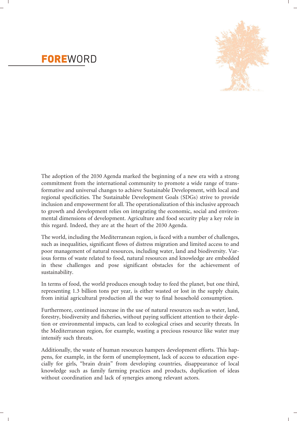

## **FOREWORD**

The adoption of the 2030 Agenda marked the beginning of a new era with a strong commitment from the international community to promote a wide range of transformative and universal changes to achieve Sustainable Development, with local and regional specificities. The Sustainable Development Goals (SDGs) strive to provide inclusion and empowerment for all. The operationalization of this inclusive approach to growth and development relies on integrating the economic, social and environmental dimensions of development. Agriculture and food security play a key role in this regard. Indeed, they are at the heart of the 2030 Agenda.

The world, including the Mediterranean region, is faced with a number of challenges, such as inequalities, significant flows of distress migration and limited access to and poor management of natural resources, including water, land and biodiversity. Various forms of waste related to food, natural resources and knowledge are embedded in these challenges and pose significant obstacles for the achievement of sustainability.

In terms of food, the world produces enough today to feed the planet, but one third, representing 1.3 billion tons per year, is either wasted or lost in the supply chain, from initial agricultural production all the way to final household consumption.

Furthermore, continued increase in the use of natural resources such as water, land, forestry, biodiversity and fisheries, without paying sufficient attention to their depletion or environmental impacts, can lead to ecological crises and security threats. In the Mediterranean region, for example, wasting a precious resource like water may intensify such threats.

Additionally, the waste of human resources hampers development efforts. This happens, for example, in the form of unemployment, lack of access to education especially for girls, "brain drain" from developing countries, disappearance of local knowledge such as family farming practices and products, duplication of ideas without coordination and lack of synergies among relevant actors.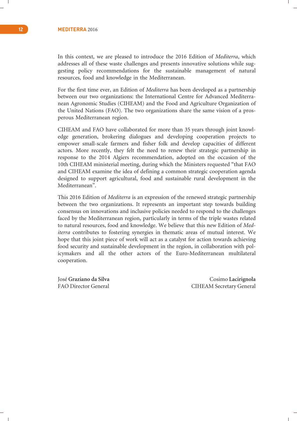#### **12 MEDITERRA** 2016

In this context, we are pleased to introduce the 2016 Edition of *Mediterra*, which addresses all of these waste challenges and presents innovative solutions while suggesting policy recommendations for the sustainable management of natural resources, food and knowledge in the Mediterranean.

For the first time ever, an Edition of *Mediterra* has been developed as a partnership between our two organizations: the International Centre for Advanced Mediterranean Agronomic Studies (CIHEAM) and the Food and Agriculture Organization of the United Nations (FAO). The two organizations share the same vision of a prosperous Mediterranean region.

CIHEAM and FAO have collaborated for more than 35 years through joint knowledge generation, brokering dialogues and developing cooperation projects to empower small-scale farmers and fisher folk and develop capacities of different actors. More recently, they felt the need to renew their strategic partnership in response to the 2014 Algiers recommendation, adopted on the occasion of the 10th CIHEAM ministerial meeting, during which the Ministers requested "that FAO and CIHEAM examine the idea of defining a common strategic cooperation agenda designed to support agricultural, food and sustainable rural development in the Mediterranean".

This 2016 Edition of *Mediterra* is an expression of the renewed strategic partnership between the two organizations. It represents an important step towards building consensus on innovations and inclusive policies needed to respond to the challenges faced by the Mediterranean region, particularly in terms of the triple wastes related to natural resources, food and knowledge. We believe that this new Edition of *Mediterra* contributes to fostering synergies in thematic areas of mutual interest. We hope that this joint piece of work will act as a catalyst for action towards achieving food security and sustainable development in the region, in collaboration with policymakers and all the other actors of the Euro-Mediterranean multilateral cooperation.

José **Graziano da Silva** Cosimo **Lacirignola** FAO Director General CIHEAM Secretary General

 $\mathbf{I}$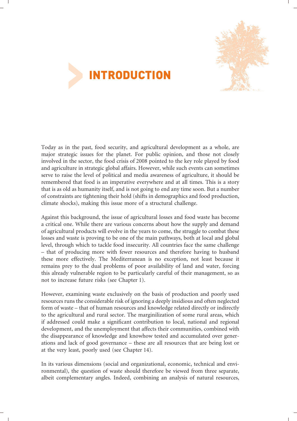



Today as in the past, food security, and agricultural development as a whole, are major strategic issues for the planet. For public opinion, and those not closely involved in the sector, the food crisis of 2008 pointed to the key role played by food and agriculture in strategic global affairs. However, while such events can sometimes serve to raise the level of political and media awareness of agriculture, it should be remembered that food is an imperative everywhere and at all times. This is a story that is as old as humanity itself, and is not going to end any time soon. But a number of constraints are tightening their hold (shifts in demographics and food production, climate shocks), making this issue more of a structural challenge.

Against this background, the issue of agricultural losses and food waste has become a critical one. While there are various concerns about how the supply and demand of agricultural products will evolve in the years to come, the struggle to combat these losses and waste is proving to be one of the main pathways, both at local and global level, through which to tackle food insecurity. All countries face the same challenge – that of producing more with fewer resources and therefore having to husband these more effectively. The Mediterranean is no exception, not least because it remains prey to the dual problems of poor availability of land and water, forcing this already vulnerable region to be particularly careful of their management, so as not to increase future risks (see Chapter 1).

However, examining waste exclusively on the basis of production and poorly used resources runs the considerable risk of ignoring a deeply insidious and often neglected form of waste – that of human resources and knowledge related directly or indirectly to the agricultural and rural sector. The marginilization of some rural areas, which if addressed could make a significant contribution to local, national and regional development, and the unemployment that affects their communities, combined with the disappearance of knowledge and knowhow tested and accumulated over generations and lack of good governance – these are all resources that are being lost or at the very least, poorly used (see Chapter 14).

In its various dimensions (social and organizational, economic, technical and environmental), the question of waste should therefore be viewed from three separate, albeit complementary angles. Indeed, combining an analysis of natural resources,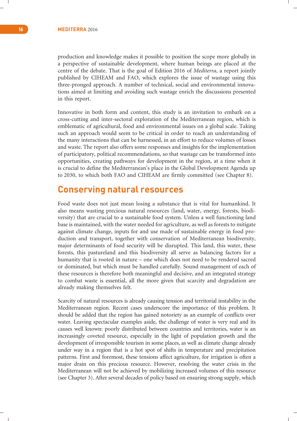production and knowledge makes it possible to position the scope more globally in a perspective of sustainable development, where human beings are placed at the centre of the debate. That is the goal of Edition 2016 of *Mediterra*, a report jointly published by CIHEAM and FAO, which explores the issue of wastage using this three-pronged approach. A number of technical, social and environmental innovations aimed at limiting and avoiding such wastage enrich the discussions presented in this report.

Innovative in both form and content, this study is an invitation to embark on a cross-cutting and inter-sectoral exploration of the Mediterranean region, which is emblematic of agricultural, food and environmental issues on a global scale. Taking such an approach would seem to be critical in order to reach an understanding of the many interactions that can be harnessed, in an effort to reduce volumes of losses and waste. The report also offers some responses and insights for the implementation of participatory, political recommendations, so that wastage can be transformed into opportunities, creating pathways for development in the region, at a time when it is crucial to define the Mediterranean's place in the Global Development Agenda up to 2030, to which both FAO and CIHEAM are firmly committed (see Chapter 8).

#### **Conserving natural resources**

Food waste does not just mean losing a substance that is vital for humankind. It also means wasting precious natural resources (land, water, energy, forests, biodiversity) that are crucial to a sustainable food system. Unless a well functioning land base is maintained, with the water needed for agriculture, as well as forests to mitigate against climate change, inputs for and use made of sustainable energy in food production and transport, together with conservation of Mediterranean biodiversity, major determinants of food security will be disrupted. This land, this water, these forests, this pastureland and this biodiversity all serve as balancing factors for a humanity that is rooted in nature – one which does not need to be rendered sacred or dominated, but which must be handled carefully. Sound management of each of these resources is therefore both meaningful and decisive, and an integrated strategy to combat waste is essential, all the more given that scarcity and degradation are already making themselves felt.

Scarcity of natural resources is already causing tension and territorial instability in the Mediterranean region. Recent cases underscore the importance of this problem. It should be added that the region has gained notoriety as an example of conflicts over water. Leaving spectacular examples aside, the challenge of water is very real and its causes well known: poorly distributed between countries and territories, water is an increasingly coveted resource, especially in the light of population growth and the development of irresponsible tourism in some places, as well as climate change already under way in a region that is a hot spot of shifts in temperature and precipitation patterns. First and foremost, these tensions affect agriculture, for irrigation is often a major drain on this precious resource. However, resolving the water crisis in the Mediterranean will not be achieved by mobilizing increased volumes of this resource (see Chapter 3). After several decades of policy based on ensuring strong supply, which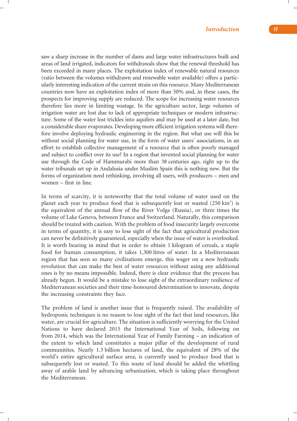saw a sharp increase in the number of dams and large water infrastructures built and areas of land irrigated, indicators for withdrawals show that the renewal threshold has been exceeded in many places. The exploitation index of renewable natural resources (ratio between the volumes withdrawn and renewable water available) offers a particularly interesting indication of the current strain on this resource. Many Mediterranean countries now have an exploitation index of more than 50% and, in these cases, the prospects for improving supply are reduced. The scope for increasing water resources therefore lies more in limiting wastage. In the agriculture sector, large volumes of irrigation water are lost due to lack of appropriate techniques or modern infrastructure. Some of the water lost trickles into aquifers and may be used at a later date, but a considerable share evaporates. Developing more efficient irrigation systems will therefore involve deploying hydraulic engineering in the region. But what use will this be without social planning for water use, in the form of water users' associations, in an effort to establish collective management of a resource that is often poorly managed and subject to conflict over its use? In a region that invented social planning for water use through the Code of Hammurabi more than 38 centuries ago, right up to the water tribunals set up in Andalusia under Muslim Spain this is nothing new. But the forms of organization need rethinking, involving all users, with producers – men and women – first in line.

In terms of scarcity, it is noteworthy that the total volume of water used on the planet each year to produce food that is subsequently lost or wasted (250 km<sup>3</sup>) is the equivalent of the annual flow of the River Volga (Russia), or three times the volume of Lake Geneva, between France and Switzerland. Naturally, this comparison should be treated with caution. With the problem of food insecurity largely overcome in terms of quantity, it is easy to lose sight of the fact that agricultural production can never be definitively guaranteed, especially when the issue of water is overlooked. It is worth bearing in mind that in order to obtain 1 kilogram of cereals, a staple food for human consumption, it takes 1,300 litres of water. In a Mediterranean region that has seen so many civilizations emerge, this wager on a new hydraulic revolution that can make the best of water resources without using any additional ones is by no means impossible. Indeed, there is clear evidence that the process has already begun. It would be a mistake to lose sight of the extraordinary resilience of Mediterranean societies and their time-honoured determination to innovate, despite the increasing constraints they face.

The problem of land is another issue that is frequently raised. The availability of hydroponic techniques is no reason to lose sight of the fact that land resources, like water, are crucial for agriculture. The situation is sufficiently worrying for the United Nations to have declared 2015 the International Year of Soils, following on from 2014, which was the International Year of Family Farming – an indication of the extent to which land constitutes a major pillar of the development of rural communitites. Nearly 1.3 billion hectares of land, the equivalent of 28% of the world's entire agricultural surface area, is currently used to produce food that is subsequently lost or wasted. To this waste of land should be added the whittling away of arable land by advancing urbanization, which is taking place throughout the Mediterranean.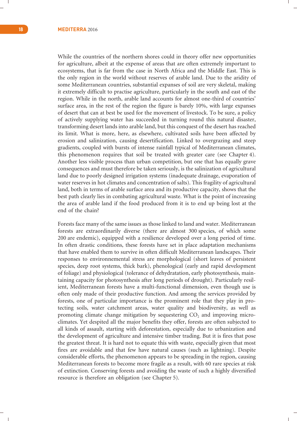While the countries of the northern shores could in theory offer new opportunities for agriculture, albeit at the expense of areas that are often extremely important to ecosystems, that is far from the case in North Africa and the Middle East. This is the only region in the world without reserves of arable land. Due to the aridity of some Mediterranean countries, substantial expanses of soil are very skeletal, making it extremely difficult to practise agriculture, particularly in the south and east of the region. While in the north, arable land accounts for almost one-third of countries' surface area, in the rest of the region the figure is barely 10%, with large expanses of desert that can at best be used for the movement of livestock. To be sure, a policy of actively supplying water has succeeded in turning round this natural disaster, transforming desert lands into arable land, but this conquest of the desert has reached its limit. What is more, here, as elsewhere, cultivated soils have been affected by erosion and salinization, causing desertification. Linked to overgrazing and steep gradients, coupled with bursts of intense rainfall typical of Mediterranean climates, this phenomenon requires that soil be treated with greater care (see Chapter 4). Another less visible process than urban competition, but one that has equally grave consequences and must therefore be taken seriously, is the salinization of agricultural land due to poorly designed irrigation systems (inadequate drainage, evaporation of water reserves in hot climates and concentration of salts). This fragility of agricultural land, both in terms of arable surface area and its productive capacity, shows that the best path clearly lies in combating agricultural waste. What is the point of increasing the area of arable land if the food produced from it is to end up being lost at the end of the chain?

Forests face many of the same issues as those linked to land and water. Mediterranean forests are extraordinarily diverse (there are almost 300 species, of which some 200 are endemic), equipped with a resilience developed over a long period of time. In often drastic conditions, these forests have set in place adaptation mechanisms that have enabled them to survive in often difficult Mediterranean landscapes. Their responses to environnemental stress are morphological (short leaves of persistent species, deep root systems, thick bark), phenological (early and rapid development of foliage) and physiological (tolerance of dehydratation, early photosynthesis, maintaining capacity for photosynthesis after long periods of drought). Particularly resilient, Mediterranean forests have a multi-functional dimension, even though use is often only made of their productive function. And among the services provided by forests, one of particular importance is the prominent role that they play in protecting soils, water catchment areas, water quality and biodiversity, as well as promoting climate change mitigation by sequestering CO<sub>2</sub> and improving microclimates. Yet despited all the major benefits they offer, forests are often subjected to all kinds of assault, starting with deforestation, especially due to urbanization and the development of agriculture and intensive timber trading. But it is fires that pose the greatest threat. It is hard not to equate this with waste, especially given that most fires are avoidable and that few have natural causes (such as lightning). Despite considerable efforts, the phenomenon appears to be spreading in the region, causing Mediterranean forests to become more fragile as a result, with 60 rare species at risk of extinction. Conserving forests and avoiding the waste of such a highly diversified resource is therefore an obligation (see Chapter 5).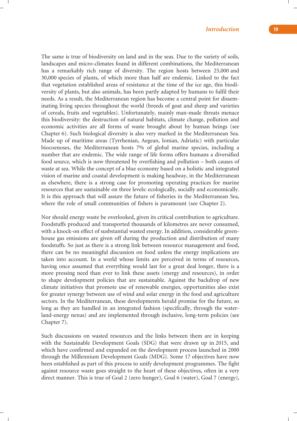The same is true of biodiversity on land and in the seas. Due to the variety of soils, landscapes and micro-climates found in different combinations, the Mediterranean has a remarkably rich range of diversity. The region hosts between 25,000 and 30,000 species of plants, of which more than half are endemic. Linked to the fact that vegetation established areas of resistance at the time of the ice age, this biodiversity of plants, but also animals, has been partly adapted by humans to fulfil their needs. As a result, the Mediterranean region has become a central point for disseminating living species throughout the world (breeds of goat and sheep and varieties of cereals, fruits and vegetables). Unfortunately, mainly man-made threats menace this biodiversity: the destruction of natural habitats, climate change, pollution and economic activities are all forms of waste brought about by human beings (see Chapter 6). Such biological diversity is also very marked in the Mediterranean Sea. Made up of maritime areas (Tyrrhenian, Aegean, Ionian, Adriatic) with particular biocoenoses, the Mediterranean hosts 7% of global marine species, including a number that are endemic. The wide range of life forms offers humans a diversified food source, which is now threatened by overfishing and pollution – both causes of waste at sea. While the concept of a blue economy based on a holistic and integrated vision of marine and coastal development is making headway, in the Mediterranean as elsewhere, there is a strong case for promoting operating practices for marine resources that are sustainable on three levels: ecologically, socially and economically. It is this approach that will assure the future of fisheries in the Mediterranean Sea, where the role of small communities of fishers is paramount (see Chapter 2).

Nor should energy waste be overlooked, given its critical contribution to agriculture. Foodstuffs produced and transported thousands of kilometres are never consumed, with a knock-on effect of susbstantial wasted energy. In addition, considerable greenhouse gas emissions are given off during the production and distribution of many foodstuffs. So just as there is a strong link between resource management and food, there can be no meaningful discussion on food unless the energy implications are taken into account. In a world whose limits are perceived in terms of resources, having once assumed that everything would last for a great deal longer, there is a more pressing need than ever to link these assets (energy and resources), in order to shape development policies that are sustainable. Against the backdrop of new climate initiatives that promote use of renewable energies, opportunities also exist for greater synergy between use of wind and solar energy in the food and agriculture sectors. In the Mediterranean, these developments herald promise for the future, so long as they are handled in an integrated fashion (specifically, through the waterland-energy nexus) and are implemented through inclusive, long-term policies (see Chapter 7).

Such discussions on wasted resources and the links between them are in keeping with the Sustainable Development Goals (SDG) that were drawn up in 2015, and which have confirmed and expanded on the development process launched in 2000 through the Millennium Development Goals (MDG). Some 17 objectives have now been established as part of this process to unify development programmes. The fight against resource waste goes straight to the heart of these objectives, often in a very direct manner. This is true of Goal 2 (zero hunger), Goal 6 (water), Goal 7 (energy),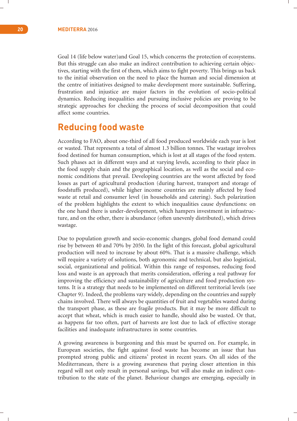Goal 14 (life below water)and Goal 15, which concerns the protection of ecosystems. But this struggle can also make an indirect contribution to achieving certain objectives, starting with the first of them, which aims to fight poverty. This brings us back to the initial observation on the need to place the human and social dimension at the centre of initiatives designed to make development more sustainable. Suffering, frustration and injustice are major factors in the evolution of socio-political dynamics. Reducing inequalities and pursuing inclusive policies are proving to be strategic approaches for checking the process of social decomposition that could affect some countries.

### **Reducing food waste**

According to FAO, about one-third of all food produced worldwide each year is lost or wasted. That represents a total of almost 1.3 billion tonnes. The wastage involves food destined for human consumption, which is lost at all stages of the food system. Such phases act in different ways and at varying levels, according to their place in the food supply chain and the geographical location, as well as the social and economic conditions that prevail. Developing countries are the worst affected by food losses as part of agricultural production (during harvest, transport and storage of foodstuffs produced), while higher income countries are mainly affected by food waste at retail and consumer level (in households and catering). Such polarization of the problem highlights the extent to which inequalities cause dysfunctions: on the one hand there is under-development, which hampers investment in infrastructure, and on the other, there is abundance (often unevenly distributed), which drives wastage.

Due to population growth and socio-economic changes, global food demand could rise by between 40 and 70% by 2050. In the light of this forecast, global agricultural production will need to increase by about 60%. That is a massive challenge, which will require a variety of solutions, both agronomic and technical, but also logistical, social, organizational and political. Within this range of responses, reducing food loss and waste is an approach that merits consideration, offering a real pathway for improving the efficiency and sustainability of agriculture and food production systems. It is a strategy that needs to be implemented on different territorial levels (see Chapter 9). Indeed, the problems vary widely, depending on the countries and supply chains involved. There will always be quantities of fruit and vegetables wasted during the transport phase, as these are fragile products. But it may be more difficult to accept that wheat, which is much easier to handle, should also be wasted. Or that, as happens far too often, part of harvests are lost due to lack of effective storage facilities and inadequate infrastructures in some countries.

A growing awareness is burgeoning and this must be spurred on. For example, in European societies, the fight against food waste has become an issue that has prompted strong public and citizens' protest in recent years. On all sides of the Mediterranean, there is a growing awareness that paying closer attention in this regard will not only result in personal savings, but will also make an indirect contribution to the state of the planet. Behaviour changes are emerging, especially in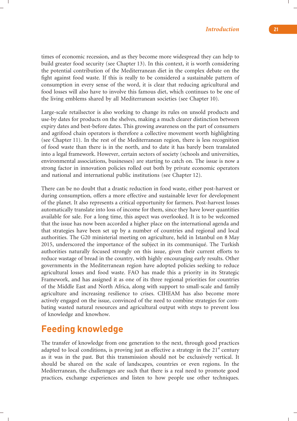times of economic recession, and as they become more widespread they can help to build greater food security (see Chapter 13). In this context, it is worth considering the potential contribution of the Mediterranean diet in the complex debate on the fight against food waste. If this is really to be considered a sustainable pattern of consumption in every sense of the word, it is clear that reducing agricultural and food losses will also have to involve this famous diet, which continues to be one of the living emblems shared by all Mediterranean societies (see Chapter 10).

Large-scale retailsector is also working to change its rules on unsold products and use-by dates for products on the shelves, making a much clearer distinction between expiry dates and best-before dates. This growing awareness on the part of consumers and agrifood chain operators is therefore a collective movement worth highlighting (see Chapter 11). In the rest of the Mediterranean region, there is less recognition of food waste than there is in the north, and to date it has barely been translated into a legal framework. However, certain sectors of society (schools and universities, environmental associations, businesses) are starting to catch on. The issue is now a strong factor in innovation policies rolled out both by private economic operators and national and international public institutions (see Chapter 12).

There can be no doubt that a drastic reduction in food waste, either post-harvest or during consumption, offers a more effective and sustainable lever for development of the planet. It also represents a critical opportunity for farmers. Post-harvest losses automatically translate into loss of income for them, since they have lower quantities available for sale. For a long time, this aspect was overlooked. It is to be welcomed that the issue has now been accorded a higher place on the international agenda and that strategies have been set up by a number of countries and regional and local authorities. The G20 ministerial meeting on agriculture, held in Istanbul on 8 May 2015, underscored the importance of the subject in its communiqué. The Turkish authorities naturally focused strongly on this issue, given their current efforts to reduce wastage of bread in the country, with highly encouraging early results. Other governments in the Mediterranean region have adopted policies seeking to reduce agricultural losses and food waste. FAO has made this a priority in its Strategic Framework, and has assigned it as one of its three regional priorities for countries of the Middle East and North Africa, along with support to small-scale and family agriculture and increasing resilience to crises. CIHEAM has also become more actively engaged on the issue, convinced of the need to combine strategies for combating wasted natural resources and agricultural output with steps to prevent loss of knowledge and knowhow.

#### **Feeding knowledge**

The transfer of knowledge from one generation to the next, through good practices adapted to local conditions, is proving just as effective a strategy in the  $21<sup>st</sup>$  century as it was in the past. But this transmission should not be exclusively vertical. It should be shared on the scale of landscapes, countries or even regions. In the Mediterranean, the challennges are such that there is a real need to promote good practices, exchange experiences and listen to how people use other techniques.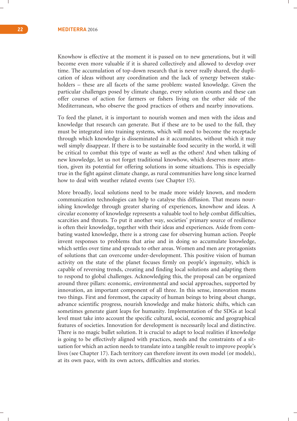Knowhow is effective at the moment it is passed on to new generations, but it will become even more valuable if it is shared collectively and allowed to develop over time. The accumulation of top-down research that is never really shared, the duplication of ideas without any coordination and the lack of synergy between stakeholders – these are all facets of the same problem: wasted knowledge. Given the particular challenges posed by climate change, every solution counts and these can offer courses of action for farmers or fishers living on the other side of the Mediterranean, who observe the good practices of others and nearby innovations.

To feed the planet, it is important to nourish women and men with the ideas and knowledge that research can generate. But if these are to be used to the full, they must be integrated into training systems, which will need to become the receptacle through which knowledge is disseminated as it accumulates, without which it may well simply disappear. If there is to be sustainable food security in the world, it will be critical to combat this type of waste as well as the others! And when talking of new knowledge, let us not forget traditional knowhow, which deserves more attention, given its potential for offering solutions in some situations. This is especially true in the fight against climate change, as rural communities have long since learned how to deal with weather related events (see Chapter 15).

More broadly, local solutions need to be made more widely known, and modern communication technologies can help to catalyse this diffusion. That means nourishing knowledge through greater sharing of experiences, knowhow and ideas. A circular economy of knowledge represents a valuable tool to help combat difficulties, scarcities and threats. To put it another way, societies' primary source of resilience is often their knowledge, together with their ideas and experiences. Aside from combating wasted knowledge, there is a strong case for observing human action. People invent responses to problems that arise and in doing so accumulate knowledge, which settles over time and spreads to other areas. Women and men are protagonists of solutions that can overcome under-development. This positive vision of human activity on the state of the planet focuses firmly on people's ingenuity, which is capable of reversing trends, creating and finding local solutions and adapting them to respond to global challenges. Acknowledging this, the proposal can be organized around three pillars: economic, environmental and social approaches, supported by innovation, an important component of all three. In this sense, innovation means two things. First and foremost, the capacity of human beings to bring about change, advance scientific progress, nourish knowledge and make historic shifts, which can sometimes generate giant leaps for humanity. Implementation of the SDGs at local level must take into account the specific cultural, social, economic and geographical features of societies. Innovation for development is necessarily local and distinctive. There is no magic bullet solution. It is crucial to adapt to local realities if knowledge is going to be effectively aligned with practices, needs and the constraints of a situation for which an action needs to translate into a tangible result to improve people's lives (see Chapter 17). Each territory can therefore invent its own model (or models), at its own pace, with its own actors, difficulties and stories.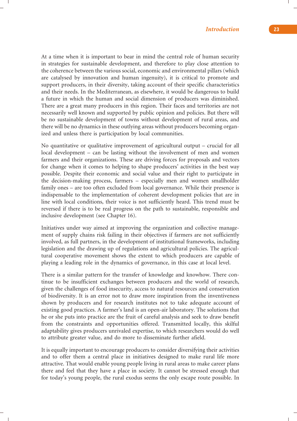At a time when it is important to bear in mind the central role of human security in strategies for sustainable development, and therefore to play close attention to the coherence between the various social, economic and environmental pillars (which are catalysed by innovation and human ingenuity), it is critical to promote and support producers, in their diversity, taking account of their specific characteristics and their needs. In the Mediterranean, as elsewhere, it would be dangerous to build a future in which the human and social dimension of producers was diminished. There are a great many producers in this region. Their faces and territories are not necessarily well known and supported by public opinion and policies. But there will be no sustainable development of towns without development of rural areas, and there will be no dynamics in these outlying areas without producers becoming organized and unless there is participation by local communities.

No quantitative or qualitative improvement of agricultural output – crucial for all local development – can be lasting without the involvement of men and women farmers and their organizations. These are driving forces for proposals and vectors for change when it comes to helping to shape producers' activities in the best way possible. Despite their economic and social value and their right to participate in the decision-making process, farmers – especially men and women smallholder family ones – are too often excluded from local governance. While their presence is indispensable to the implementation of coherent development policies that are in line with local conditions, their voice is not sufficiently heard. This trend must be reversed if there is to be real progress on the path to sustainable, responsible and inclusive development (see Chapter 16).

Initiatives under way aimed at improving the organization and collective management of supply chains risk failing in their objectives if farmers are not sufficiently involved, as full partners, in the development of institutional frameworks, including legislation and the drawing up of regulations and agricultural policies. The agricultural cooperative movement shows the extent to which producers are capable of playing a leading role in the dynamics of governance, in this case at local level.

There is a similar pattern for the transfer of knowledge and knowhow. There continue to be insufficient exchanges between producers and the world of research, given the challenges of food insecurity, access to natural resources and conservation of biodiversity. It is an error not to draw more inspiration from the inventiveness shown by producers and for research institutes not to take adequate account of existing good practices. A farmer's land is an open-air laboratory. The solutions that he or she puts into practice are the fruit of careful analysis and seek to draw benefit from the constraints and opportunities offered. Transmitted locally, this skilful adaptability gives producers unrivaled expertise, to which researchers would do well to attribute greater value, and do more to disseminate further afield.

It is equally important to encourage producers to consider diversifying their activities and to offer them a central place in initiatives designed to make rural life more attractive. That would enable young people living in rural areas to make career plans there and feel that they have a place in society. It cannot be stressed enough that for today's young people, the rural exodus seems the only escape route possible. In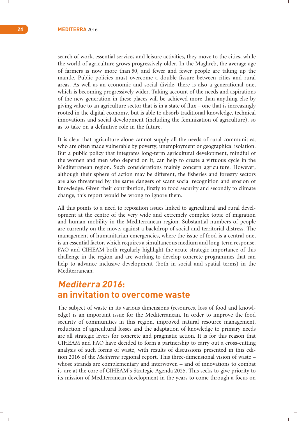search of work, essential services and leisure activities, they move to the cities, while the world of agriculture grows progressively older. In the Maghreb, the average age of farmers is now more than 50, and fewer and fewer people are taking up the mantle. Public policies must overcome a double fissure between cities and rural areas. As well as an economic and social divide, there is also a generational one, which is becoming progressively wider. Taking account of the needs and aspirations of the new generation in these places will be achieved more than anything else by giving value to an agriculture sector that is in a state of flux – one that is increasingly rooted in the digital economy, but is able to absorb traditional knowledge, technical innovations and social development (including the feminization of agriculture), so as to take on a definitive role in the future.

It is clear that agriculture alone cannot supply all the needs of rural communities, who are often made vulnerable by poverty, unemployment or geographical isolation. But a public policy that integrates long-term agricultural development, mindful of the women and men who depend on it, can help to create a virtuous cycle in the Mediterranean region. Such considerations mainly concern agriculture. However, although their sphere of action may be different, the fisheries and forestry sectors are also threatened by the same dangers of scant social recognition and erosion of knowledge. Given their contribution, firstly to food security and secondly to climate change, this report would be wrong to ignore them.

All this points to a need to reposition issues linked to agricultural and rural development at the centre of the very wide and extremely complex topic of migration and human mobility in the Mediterranean region. Substantial numbers of people are currently on the move, against a backdrop of social and territorial distress. The management of humanitarian emergencies, where the issue of food is a central one, is an essential factor, which requires a simultaneous medium and long-term response. FAO and CIHEAM both regularly highlight the acute strategic importance of this challenge in the region and are working to develop concrete programmes that can help to advance inclusive development (both in social and spatial terms) in the Mediterranean.

## **Mediterra 2016: an invitation to overcome waste**

The subject of waste in its various dimensions (resources, loss of food and knowledge) is an important issue for the Mediterranean. In order to improve the food security of communities in this region, improved natural resource management, reduction of agricultural losses and the adaptation of knowledge to primary needs are all strategic levers for concrete and pragmatic action. It is for this reason that CIHEAM and FAO have decided to form a partnership to carry out a cross-cutting analysis of such forms of waste, with results of discussions presented in this edition 2016 of the *Mediterra* regional report. This three-dimensional vision of waste – whose strands are complementary and interwoven – and of innovations to combat it, are at the core of CIHEAM's Strategic Agenda 2025. This seeks to give priority to its mission of Mediterranean development in the years to come through a focus on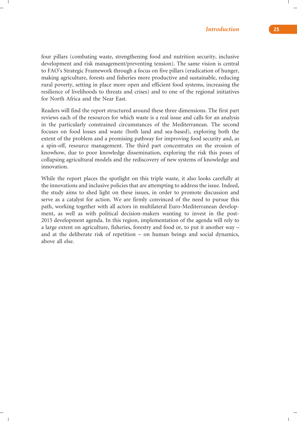four pillars (combating waste, strengthening food and nutrition security, inclusive development and risk management/preventing tension). The same vision is central to FAO's Strategic Framework through a focus on five pillars (eradication of hunger, making agriculture, forests and fisheries more productive and sustainable, reducing rural poverty, setting in place more open and efficient food systems, increasing the resilience of livelihoods to threats and crises) and to one of the regional initiatives for North Africa and the Near East.

Readers will find the report structured around these three dimensions. The first part reviews each of the resources for which waste is a real issue and calls for an analysis in the particularly constrained circumstances of the Mediterranean. The second focuses on food losses and waste (both land and sea-based), exploring both the extent of the problem and a promising pathway for improving food security and, as a spin-off, resource management. The third part concentrates on the erosion of knowhow, due to poor knowledge dissemination, exploring the risk this poses of collapsing agricultural models and the rediscovery of new systems of knowledge and innovation.

While the report places the spotlight on this triple waste, it also looks carefully at the innovations and inclusive policies that are attempting to address the issue. Indeed, the study aims to shed light on these issues, in order to promote discussion and serve as a catalyst for action. We are firmly convinced of the need to pursue this path, working together with all actors in multilateral Euro-Mediterranean development, as well as with political decision-makers wanting to invest in the post-2015 development agenda. In this region, implementation of the agenda will rely to a large extent on agriculture, fisheries, forestry and food or, to put it another way – and at the deliberate risk of repetition – on human beings and social dynamics, above all else.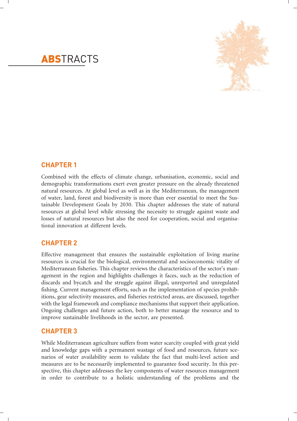

# **ABSTRACTS**

#### **CHAPTER 1**

Combined with the effects of climate change, urbanisation, economic, social and demographic transformations exert even greater pressure on the already threatened natural resources. At global level as well as in the Mediterranean, the management of water, land, forest and biodiversity is more than ever essential to meet the Sustainable Development Goals by 2030. This chapter addresses the state of natural resources at global level while stressing the necessity to struggle against waste and losses of natural resources but also the need for cooperation, social and organisational innovation at different levels.

#### **CHAPTER 2**

Effective management that ensures the sustainable exploitation of living marine resources is crucial for the biological, environmental and socioeconomic vitality of Mediterranean fisheries. This chapter reviews the characteristics of the sector's management in the region and highlights challenges it faces, such as the reduction of discards and bycatch and the struggle against illegal, unreported and unregulated fishing. Current management efforts, such as the implementation of species prohibitions, gear selectivity measures, and fisheries restricted areas, are discussed, together with the legal framework and compliance mechanisms that support their application. Ongoing challenges and future action, both to better manage the resource and to improve sustainable livelihoods in the sector, are presented.

#### **CHAPTER 3**

While Mediterranean agriculture suffers from water scarcity coupled with great yield and knowledge gaps with a permanent wastage of food and resources, future scenarios of water availability seem to validate the fact that multi-level action and measures are to be necessarily implemented to guarantee food security. In this perspective, this chapter addresses the key components of water resources management in order to contribute to a holistic understanding of the problems and the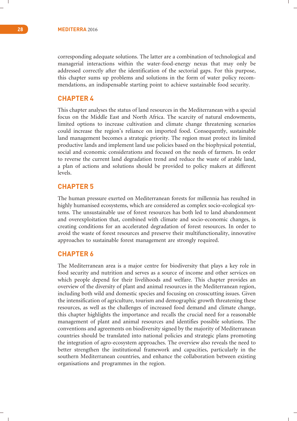corresponding adequate solutions. The latter are a combination of technological and managerial interactions within the water-food-energy nexus that may only be addressed correctly after the identification of the sectorial gaps. For this purpose, this chapter sums up problems and solutions in the form of water policy recommendations, an indispensable starting point to achieve sustainable food security.

#### **CHAPTER 4**

This chapter analyses the status of land resources in the Mediterranean with a special focus on the Middle East and North Africa. The scarcity of natural endowments, limited options to increase cultivation and climate change threatening scenarios could increase the region's reliance on imported food. Consequently, sustainable land management becomes a strategic priority. The region must protect its limited productive lands and implement land use policies based on the biophysical potential, social and economic considerations and focused on the needs of farmers. In order to reverse the current land degradation trend and reduce the waste of arable land, a plan of actions and solutions should be provided to policy makers at different levels.

#### **CHAPTER 5**

The human pressure exerted on Mediterranean forests for millennia has resulted in highly humanised ecosystems, which are considered as complex socio-ecological systems. The unsustainable use of forest resources has both led to land abandonment and overexploitation that, combined with climate and socio-economic changes, is creating conditions for an accelerated degradation of forest resources. In order to avoid the waste of forest resources and preserve their multifunctionality, innovative approaches to sustainable forest management are strongly required.

#### **CHAPTER 6**

The Mediterranean area is a major centre for biodiversity that plays a key role in food security and nutrition and serves as a source of income and other services on which people depend for their livelihoods and welfare. This chapter provides an overview of the diversity of plant and animal resources in the Mediterranean region, including both wild and domestic species and focusing on crosscutting issues. Given the intensification of agriculture, tourism and demographic growth threatening these resources, as well as the challenges of increased food demand and climate change, this chapter highlights the importance and recalls the crucial need for a reasonable management of plant and animal resources and identifies possible solutions. The conventions and agreements on biodiversity signed by the majority of Mediterranean countries should be translated into national policies and strategic plans promoting the integration of agro-ecosystem approaches. The overview also reveals the need to better strengthen the institutional framework and capacities, particularly in the southern Mediterranean countries, and enhance the collaboration between existing organisations and programmes in the region.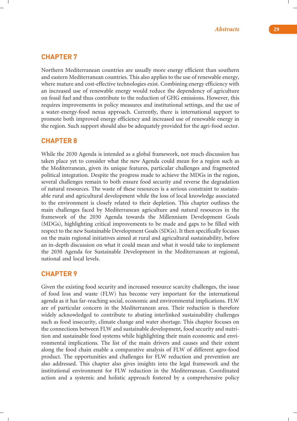#### **CHAPTER 7**

Northern Mediterranean countries are usually more energy efficient than southern and eastern Mediterranean countries. This also applies to the use of renewable energy, where mature and cost-effective technologies exist. Combining energy efficiency with an increased use of renewable energy would reduce the dependency of agriculture on fossil fuel and thus contribute to the reduction of GHG emissions. However, this requires improvements in policy measures and institutional settings, and the use of a water-energy-food nexus approach. Currently, there is international support to promote both improved energy efficiency and increased use of renewable energy in the region. Such support should also be adequately provided for the agri-food sector.

#### **CHAPTER 8**

While the 2030 Agenda is intended as a global framework, not much discussion has taken place yet to consider what the new Agenda could mean for a region such as the Mediterranean, given its unique features, particular challenges and fragmented political integration. Despite the progress made to achieve the MDGs in the region, several challenges remain to both ensure food security and reverse the degradation of natural resources. The waste of these resources is a serious constraint to sustainable rural and agricultural development while the loss of local knowledge associated to the environment is closely related to their depletion. This chapter outlines the main challenges faced by Mediterranean agriculture and natural resources in the framework of the 2030 Agenda towards the Millennium Development Goals (MDGs), highlighting critical improvements to be made and gaps to be filled with respect to the new Sustainable Development Goals (SDGs). It then specifically focuses on the main regional initiatives aimed at rural and agricultural sustainability, before an in-depth discussion on what it could mean and what it would take to implement the 2030 Agenda for Sustainable Development in the Mediterranean at regional, national and local levels.

#### **CHAPTER 9**

Given the existing food security and increased resource scarcity challenges, the issue of food loss and waste (FLW) has become very important for the international agenda as it has far-reaching social, economic and environmental implications. FLW are of particular concern in the Mediterranean area. Their reduction is therefore widely acknowledged to contribute to abating interlinked sustainability challenges such as food insecurity, climate change and water shortage. This chapter focuses on the connections between FLW and sustainable development, food security and nutrition and sustainable food systems while highlighting their main economic and environmental implications. The list of the main drivers and causes and their extent along the food chain enable a comparative analysis of FLW of different agro-food product. The opportunities and challenges for FLW reduction and prevention are also addressed. This chapter also gives insights into the legal framework and the institutional environment for FLW reduction in the Mediterranean. Coordinated action and a systemic and holistic approach fostered by a comprehensive policy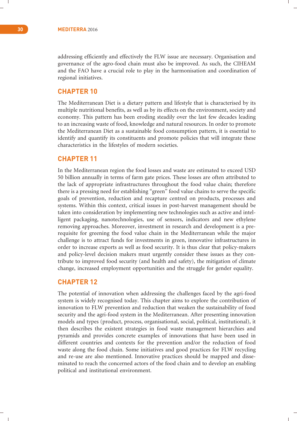addressing efficiently and effectively the FLW issue are necessary. Organisation and governance of the agro-food chain must also be improved. As such, the CIHEAM and the FAO have a crucial role to play in the harmonisation and coordination of regional initiatives.

#### **CHAPTER 10**

The Mediterranean Diet is a dietary pattern and lifestyle that is characterised by its multiple nutritional benefits, as well as by its effects on the environment, society and economy. This pattern has been eroding steadily over the last few decades leading to an increasing waste of food, knowledge and natural resources. In order to promote the Mediterranean Diet as a sustainable food consumption pattern, it is essential to identify and quantify its constituents and promote policies that will integrate these characteristics in the lifestyles of modern societies.

#### **CHAPTER 11**

In the Mediterranean region the food losses and waste are estimated to exceed USD 50 billion annually in terms of farm gate prices. These losses are often attributed to the lack of appropriate infrastructures throughout the food value chain; therefore there is a pressing need for establishing "green" food value chains to serve the specific goals of prevention, reduction and recapture centred on products, processes and systems. Within this context, critical issues in post-harvest management should be taken into consideration by implementing new technologies such as active and intelligent packaging, nanotechnologies, use of sensors, indicators and new ethylene removing approaches. Moreover, investment in research and development is a prerequisite for greening the food value chain in the Mediterranean while the major challenge is to attract funds for investments in green, innovative infrastructures in order to increase exports as well as food security. It is thus clear that policy-makers and policy-level decision makers must urgently consider these issues as they contribute to improved food security (and health and safety), the mitigation of climate change, increased employment opportunities and the struggle for gender equality.

#### **CHAPTER 12**

The potential of innovation when addressing the challenges faced by the agri-food system is widely recognised today. This chapter aims to explore the contribution of innovation to FLW prevention and reduction that weaken the sustainability of food security and the agri-food system in the Mediterranean. After presenting innovation models and types (product, process, organisational, social, political, institutional), it then describes the existent strategies in food waste management hierarchies and pyramids and provides concrete examples of innovations that have been used in different countries and contexts for the prevention and/or the reduction of food waste along the food chain. Some initiatives and good practices for FLW recycling and re-use are also mentioned. Innovative practices should be mapped and disseminated to reach the concerned actors of the food chain and to develop an enabling political and institutional environment.

 $\mathbf{I}$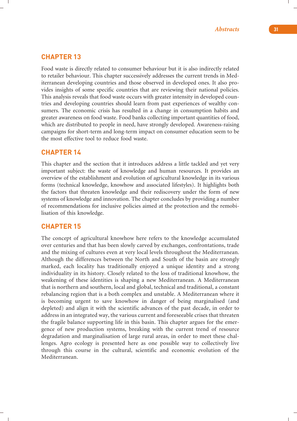#### **CHAPTER 13**

Food waste is directly related to consumer behaviour but it is also indirectly related to retailer behaviour. This chapter successively addresses the current trends in Mediterranean developing countries and those observed in developed ones. It also provides insights of some specific countries that are reviewing their national policies. This analysis reveals that food waste occurs with greater intensity in developed countries and developing countries should learn from past experiences of wealthy consumers. The economic crisis has resulted in a change in consumption habits and greater awareness on food waste. Food banks collecting important quantities of food, which are distributed to people in need, have strongly developed. Awareness-raising campaigns for short-term and long-term impact on consumer education seem to be the most effective tool to reduce food waste.

#### **CHAPTER 14**

This chapter and the section that it introduces address a little tackled and yet very important subject: the waste of knowledge and human resources. It provides an overview of the establishment and evolution of agricultural knowledge in its various forms (technical knowledge, knowhow and associated lifestyles). It highlights both the factors that threaten knowledge and their rediscovery under the form of new systems of knowledge and innovation. The chapter concludes by providing a number of recommendations for inclusive policies aimed at the protection and the remobilisation of this knowledge.

#### **CHAPTER 15**

The concept of agricultural knowhow here refers to the knowledge accumulated over centuries and that has been slowly carved by exchanges, confrontations, trade and the mixing of cultures even at very local levels throughout the Mediterranean. Although the differences between the North and South of the basin are strongly marked, each locality has traditionally enjoyed a unique identity and a strong individuality in its history. Closely related to the loss of traditional knowhow, the weakening of these identities is shaping a new Mediterranean. A Mediterranean that is northern and southern, local and global, technical and traditional, a constant rebalancing region that is a both complex and unstable. A Mediterranean where it is becoming urgent to save knowhow in danger of being marginalised (and depleted) and align it with the scientific advances of the past decade, in order to address in an integrated way, the various current and foreseeable crises that threaten the fragile balance supporting life in this basin. This chapter argues for the emergence of new production systems, breaking with the current trend of resource degradation and marginalisation of large rural areas, in order to meet these challenges. Agro ecology is presented here as one possible way to collectively live through this course in the cultural, scientific and economic evolution of the Mediterranean.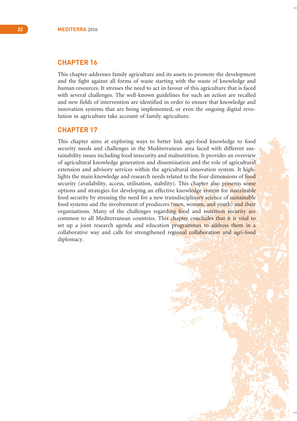#### **CHAPTER 16**

This chapter addresses family agriculture and its assets to promote the development and the fight against all forms of waste starting with the waste of knowledge and human resources. It stresses the need to act in favour of this agriculture that is faced with several challenges. The well-known guidelines for such an action are recalled and new fields of intervention are identified in order to ensure that knowledge and innovation systems that are being implemented, or even the ongoing digital revolution in agriculture take account of family agriculture.

#### **CHAPTER 17**

This chapter aims at exploring ways to better link agri-food knowledge to food security needs and challenges in the Mediterranean area faced with different sustainability issues including food insecurity and malnutrition. It provides an overview of agricultural knowledge generation and dissemination and the role of agricultural extension and advisory services within the agricultural innovation system. It highlights the main knowledge and research needs related to the four dimensions of food security (availability, access, utilisation, stability). This chapter also presents some options and strategies for developing an effective knowledge system for sustainable food security by stressing the need for a new transdisciplinary science of sustainable food systems and the involvement of producers (men, women, and youth) and their organisations. Many of the challenges regarding food and nutrition security are common to all Mediterranean countries. This chapter concludes that it is vital to set up a joint research agenda and education programmes to address them in a collaborative way and calls for strengthened regional collaboration and agri-food diplomacy.